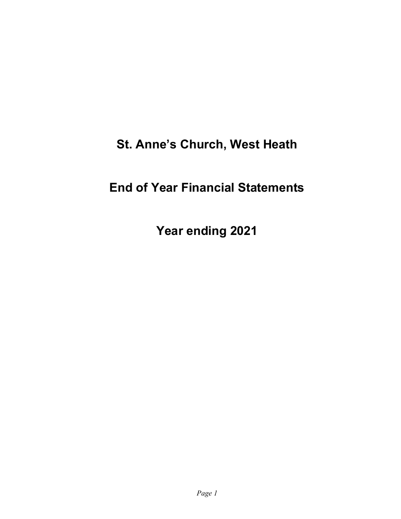# St. Anne's Church, West Heath

# End of Year Financial Statements

Year ending 2021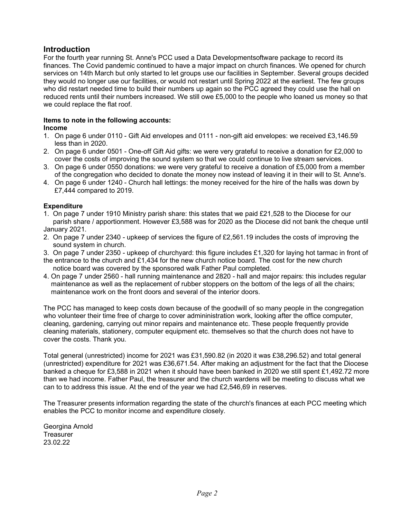#### **Introduction**

For the fourth year running St. Anne's PCC used a Data Developmentsoftware package to record its finances. The Covid pandemic continued to have a major impact on church finances. We opened for church services on 14th March but only started to let groups use our facilities in September. Several groups decided they would no longer use our facilities, or would not restart until Spring 2022 at the earliest. The few groups who did restart needed time to build their numbers up again so the PCC agreed they could use the hall on reduced rents until their numbers increased. We still owe £5,000 to the people who loaned us money so that we could replace the flat roof.

#### Items to note in the following accounts:

#### Income

- 1. On page 6 under 0110 Gift Aid envelopes and 0111 non-gift aid envelopes: we received £3,146.59 less than in 2020.
- 2. On page 6 under 0501 One-off Gift Aid gifts: we were very grateful to receive a donation for £2,000 to cover the costs of improving the sound system so that we could continue to live stream services.
- 3. On page 6 under 0550 donations: we were very grateful to receive a donation of £5,000 from a member of the congregation who decided to donate the money now instead of leaving it in their will to St. Anne's.
- 4. On page 6 under 1240 Church hall lettings: the money received for the hire of the halls was down by £7,444 compared to 2019.

#### **Expenditure**

- 1. On page 7 under 1910 Ministry parish share: this states that we paid £21,528 to the Diocese for our parish share / apportionment. However £3,588 was for 2020 as the Diocese did not bank the cheque until January 2021.
- 2. On page 7 under 2340 upkeep of services the figure of £2,561.19 includes the costs of improving the sound system in church.
- 3. On page 7 under 2350 upkeep of churchyard: this figure includes £1,320 for laying hot tarmac in front of
- the entrance to the church and £1,434 for the new church notice board. The cost for the new church notice board was covered by the sponsored walk Father Paul completed.
- 4. On page 7 under 2560 hall running maintenance and 2820 hall and major repairs: this includes regular maintenance as well as the replacement of rubber stoppers on the bottom of the legs of all the chairs; maintenance work on the front doors and several of the interior doors.

The PCC has managed to keep costs down because of the goodwill of so many people in the congregation who volunteer their time free of charge to cover admininistration work, looking after the office computer, cleaning, gardening, carrying out minor repairs and maintenance etc. These people frequently provide cleaning materials, stationery, computer equipment etc. themselves so that the church does not have to cover the costs. Thank you.

Total general (unrestricted) income for 2021 was £31,590.82 (in 2020 it was £38,296.52) and total general (unrestricted) expenditure for 2021 was £36,671.54. After making an adjustment for the fact that the Diocese banked a cheque for £3,588 in 2021 when it should have been banked in 2020 we still spent £1,492.72 more than we had income. Father Paul, the treasurer and the church wardens will be meeting to discuss what we can to to address this issue. At the end of the year we had £2,546,69 in reserves.

The Treasurer presents information regarding the state of the church's finances at each PCC meeting which enables the PCC to monitor income and expenditure closely.

Georgina Arnold **Treasurer** 23.02.22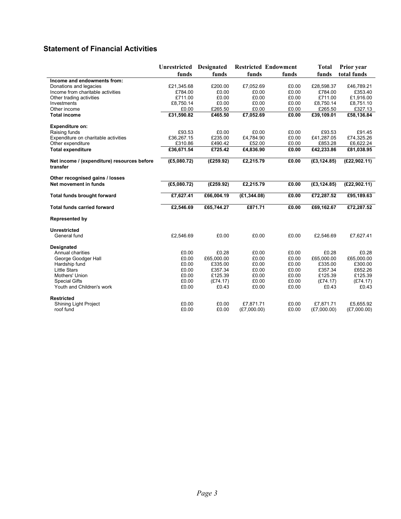## Statement of Financial Activities

|                                                         | <b>Unrestricted</b> | <b>Designated</b> | <b>Restricted Endowment</b> |       | Total        | <b>Prior</b> year |
|---------------------------------------------------------|---------------------|-------------------|-----------------------------|-------|--------------|-------------------|
|                                                         | funds               | funds             | funds                       | funds | funds        | total funds       |
| Income and endowments from:                             |                     |                   |                             |       |              |                   |
| Donations and legacies                                  | £21,345.68          | £200.00           | £7,052.69                   | £0.00 | £28,598.37   | £46,789.21        |
| Income from charitable activities                       | £784.00             | £0.00             | £0.00                       | £0.00 | £784.00      | £353.40           |
| Other trading activities                                | £711.00             | £0.00             | £0.00                       | £0.00 | £711.00      | £1,916.00         |
| Investments                                             | £8,750.14           | £0.00             | £0.00                       | £0.00 | £8,750.14    | £8,751.10         |
| Other income                                            | £0.00               | £265.50           | £0.00                       | £0.00 | £265.50      | £327.13           |
| <b>Total income</b>                                     | £31,590.82          | £465.50           | £7,052.69                   | £0.00 | £39,109.01   | £58,136.84        |
| <b>Expenditure on:</b>                                  |                     |                   |                             |       |              |                   |
| Raising funds                                           | £93.53              | £0.00             | £0.00                       | £0.00 | £93.53       | £91.45            |
| Expenditure on charitable activities                    | £36,267.15          | £235.00           | £4,784.90                   | £0.00 | £41,287.05   | £74,325.26        |
| Other expenditure                                       | £310.86             | £490.42           | £52.00                      | £0.00 | £853.28      | £6,622.24         |
| <b>Total expenditure</b>                                | £36,671.54          | £725.42           | £4,836.90                   | £0.00 | £42,233.86   | £81,038.95        |
| Net income / (expenditure) resources before<br>transfer | (E5,080.72)         | (E259.92)         | £2,215.79                   | £0.00 | (E3, 124.85) | (E22, 902.11)     |
| Other recognised gains / losses                         |                     |                   |                             |       |              |                   |
| Net movement in funds                                   | (E5,080.72)         | (E259.92)         | £2,215.79                   | £0.00 | (E3, 124.85) | (E22, 902.11)     |
| <b>Total funds brought forward</b>                      | £7,627.41           | £66,004.19        | (E1, 344.08)                | £0.00 | £72,287.52   | £95,189.63        |
| <b>Total funds carried forward</b>                      | £2,546.69           | £65,744.27        | £871.71                     | £0.00 | £69,162.67   | £72,287.52        |
| <b>Represented by</b>                                   |                     |                   |                             |       |              |                   |
| Unrestricted                                            |                     |                   |                             |       |              |                   |
| General fund                                            | £2,546.69           | £0.00             | £0.00                       | £0.00 | £2,546.69    | £7,627.41         |
| <b>Designated</b>                                       |                     |                   |                             |       |              |                   |
| Annual charities                                        | £0.00               | £0.28             | £0.00                       | £0.00 | £0.28        | £0.28             |
| George Goodger Hall                                     | £0.00               | £65,000.00        | £0.00                       | £0.00 | £65,000.00   | £65,000.00        |
| Hardship fund                                           | £0.00               | £335.00           | £0.00                       | £0.00 | £335.00      | £300.00           |
| <b>Little Stars</b>                                     | £0.00               | £357.34           | £0.00                       | £0.00 | £357.34      | £652.26           |
| Mothers' Union                                          | £0.00               | £125.39           | £0.00                       | £0.00 | £125.39      | £125.39           |
| <b>Special Gifts</b>                                    | £0.00               | (E74.17)          | £0.00                       | £0.00 | (E74.17)     | (E74.17)          |
| Youth and Children's work                               | £0.00               | £0.43             | £0.00                       | £0.00 | £0.43        | £0.43             |
| <b>Restricted</b>                                       |                     |                   |                             |       |              |                   |
| Shining Light Project                                   | £0.00               | £0.00             | £7,871.71                   | £0.00 | £7,871.71    | £5,655.92         |
| roof fund                                               | £0.00               | £0.00             | (E7,000.00)                 | £0.00 | (E7,000.00)  | (E7,000.00)       |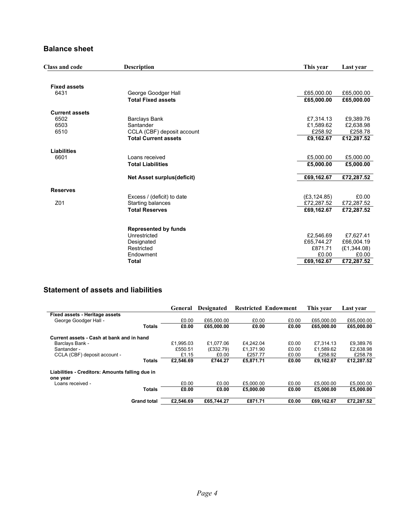#### Balance sheet

| <b>Class and code</b> | <b>Description</b>                | This year    | Last year    |
|-----------------------|-----------------------------------|--------------|--------------|
|                       |                                   |              |              |
| <b>Fixed assets</b>   |                                   |              |              |
| 6431                  | George Goodger Hall               | £65,000.00   | £65,000.00   |
|                       | <b>Total Fixed assets</b>         | £65,000.00   | £65,000.00   |
| <b>Current assets</b> |                                   |              |              |
| 6502                  | <b>Barclays Bank</b>              | £7,314.13    | £9,389.76    |
| 6503                  | Santander                         | £1,589.62    | £2,638.98    |
| 6510                  | CCLA (CBF) deposit account        | £258.92      | £258.78      |
|                       | <b>Total Current assets</b>       | £9,162.67    | £12,287.52   |
| Liabilities           |                                   |              |              |
| 6601                  | Loans received                    | £5,000.00    | £5,000.00    |
|                       | <b>Total Liabilities</b>          | £5.000.00    | £5,000.00    |
|                       | <b>Net Asset surplus(deficit)</b> | £69,162.67   | £72,287.52   |
|                       |                                   |              |              |
| <b>Reserves</b>       |                                   |              |              |
|                       | Excess / (deficit) to date        | (E3, 124.85) | £0.00        |
| Z01                   | Starting balances                 | £72,287.52   | £72,287.52   |
|                       | <b>Total Reserves</b>             | £69,162.67   | £72,287.52   |
|                       |                                   |              |              |
|                       | <b>Represented by funds</b>       |              |              |
|                       | Unrestricted                      | £2,546.69    | £7,627.41    |
|                       | Designated                        | £65,744.27   | £66,004.19   |
|                       | Restricted                        | £871.71      | (E1, 344.08) |
|                       | Endowment                         | £0.00        | £0.00        |
|                       | <b>Total</b>                      | £69,162.67   | £72,287.52   |

### Statement of assets and liabilities

|                                                 |                    | General   | <b>Designated</b> | <b>Restricted Endowment</b> |       | This year  | Last vear  |
|-------------------------------------------------|--------------------|-----------|-------------------|-----------------------------|-------|------------|------------|
| Fixed assets - Heritage assets                  |                    |           |                   |                             |       |            |            |
| George Goodger Hall -                           |                    | £0.00     | £65,000.00        | £0.00                       | £0.00 | £65,000.00 | £65,000.00 |
|                                                 | <b>Totals</b>      | £0.00     | £65,000.00        | £0.00                       | £0.00 | £65,000.00 | £65,000.00 |
| Current assets - Cash at bank and in hand       |                    |           |                   |                             |       |            |            |
| Barclays Bank -                                 |                    | £1.995.03 | £1.077.06         | £4.242.04                   | £0.00 | £7.314.13  | £9.389.76  |
| Santander -                                     |                    | £550.51   | (E332.79)         | £1,371.90                   | £0.00 | £1,589.62  | £2,638.98  |
| CCLA (CBF) deposit account -                    |                    | £1.15     | £0.00             | £257.77                     | £0.00 | £258.92    | £258.78    |
|                                                 | <b>Totals</b>      | £2.546.69 | £744.27           | £5.871.71                   | £0.00 | £9.162.67  | £12,287.52 |
| Liabilities - Creditors: Amounts falling due in |                    |           |                   |                             |       |            |            |
| one year<br>Loans received -                    |                    | £0.00     | £0.00             | £5,000.00                   | £0.00 | £5,000.00  | £5,000.00  |
|                                                 | <b>Totals</b>      | £0.00     | £0.00             | £5,000.00                   | £0.00 | £5,000.00  | £5,000.00  |
|                                                 | <b>Grand total</b> | £2.546.69 | £65.744.27        | £871.71                     | £0.00 | £69.162.67 | £72.287.52 |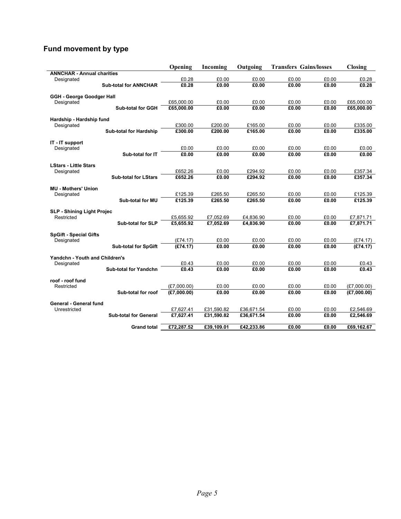# Fund movement by type

|                                   |                               | Opening     | Incoming   | Outgoing   | <b>Transfers Gains/losses</b> |       | <b>Closing</b> |
|-----------------------------------|-------------------------------|-------------|------------|------------|-------------------------------|-------|----------------|
| <b>ANNCHAR - Annual charities</b> |                               |             |            |            |                               |       |                |
| Designated                        |                               | £0.28       | £0.00      | £0.00      | £0.00                         | £0.00 | £0.28          |
|                                   | <b>Sub-total for ANNCHAR</b>  | £0.28       | £0.00      | £0.00      | £0.00                         | £0.00 | £0.28          |
| <b>GGH - George Goodger Hall</b>  |                               |             |            |            |                               |       |                |
| Designated                        |                               | £65,000.00  | £0.00      | £0.00      | £0.00                         | £0.00 | £65,000.00     |
|                                   | <b>Sub-total for GGH</b>      | £65,000.00  | £0.00      | £0.00      | £0.00                         | £0.00 | £65,000.00     |
| Hardship - Hardship fund          |                               |             |            |            |                               |       |                |
| Designated                        |                               | £300.00     | £200.00    | £165.00    | £0.00                         | £0.00 | £335.00        |
|                                   | <b>Sub-total for Hardship</b> | £300.00     | £200.00    | £165.00    | E0.00                         | £0.00 | £335.00        |
| IT - IT support                   |                               |             |            |            |                               |       |                |
| Designated                        |                               | £0.00       | £0.00      | £0.00      | £0.00                         | £0.00 | £0.00          |
|                                   | Sub-total for IT              | £0.00       | E0.00      | E0.00      | £0.00                         | £0.00 | £0.00          |
| <b>LStars - Little Stars</b>      |                               |             |            |            |                               |       |                |
| Designated                        |                               | £652.26     | £0.00      | £294.92    | £0.00                         | £0.00 | £357.34        |
|                                   | <b>Sub-total for LStars</b>   | £652.26     | £0.00      | £294.92    | £0.00                         | £0.00 | £357.34        |
| <b>MU - Mothers' Union</b>        |                               |             |            |            |                               |       |                |
| Designated                        |                               | £125.39     | £265.50    | £265.50    | £0.00                         | £0.00 | £125.39        |
|                                   | Sub-total for MU              | £125.39     | £265.50    | £265.50    | E0.00                         | E0.00 | £125.39        |
| <b>SLP - Shining Light Projec</b> |                               |             |            |            |                               |       |                |
| Restricted                        |                               | £5.655.92   | £7.052.69  | £4.836.90  | £0.00                         | £0.00 | £7,871.71      |
|                                   | <b>Sub-total for SLP</b>      | £5,655.92   | £7,052.69  | £4,836.90  | £0.00                         | £0.00 | £7,871.71      |
| <b>SpGift - Special Gifts</b>     |                               |             |            |            |                               |       |                |
| Designated                        |                               | (E74.17)    | £0.00      | £0.00      | £0.00                         | £0.00 | (E74.17)       |
|                                   | <b>Sub-total for SpGift</b>   | (E74.17)    | £0.00      | £0.00      | £0.00                         | £0.00 | (E74.17)       |
| Yandchn - Youth and Children's    |                               |             |            |            |                               |       |                |
| Designated                        |                               | £0.43       | £0.00      | £0.00      | £0.00                         | £0.00 | £0.43          |
|                                   | <b>Sub-total for Yandchn</b>  | £0.43       | E0.00      | E0.00      | E0.00                         | E0.00 | E0.43          |
| roof - roof fund                  |                               |             |            |            |                               |       |                |
| Restricted                        |                               | (E7,000.00) | £0.00      | £0.00      | £0.00                         | £0.00 | (E7,000.00)    |
|                                   | Sub-total for roof            | (E7.000.00) | E0.00      | E0.00      | £0.00                         | £0.00 | (E7,000.00)    |
| General - General fund            |                               |             |            |            |                               |       |                |
| Unrestricted                      |                               | £7,627.41   | £31,590.82 | £36,671.54 | £0.00                         | £0.00 | £2,546.69      |
|                                   | <b>Sub-total for General</b>  | £7,627.41   | £31,590.82 | £36,671.54 | £0.00                         | £0.00 | £2,546.69      |
|                                   | <b>Grand total</b>            | £72.287.52  | £39.109.01 | £42.233.86 | £0.00                         | £0.00 | £69.162.67     |
|                                   |                               |             |            |            |                               |       |                |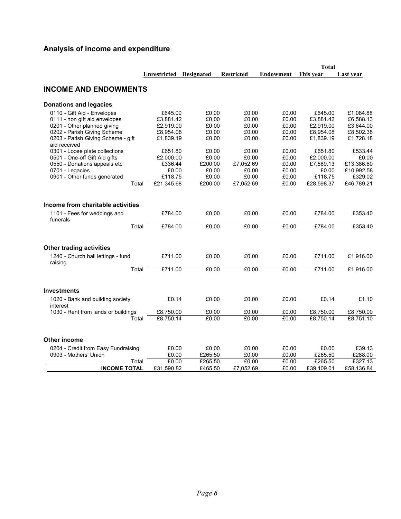# Analysis of income and expenditure

|                                               |                     |                   |                   |                  | <b>Total</b> |            |
|-----------------------------------------------|---------------------|-------------------|-------------------|------------------|--------------|------------|
|                                               | <b>Unrestricted</b> | <b>Designated</b> | <b>Restricted</b> | <b>Endowment</b> | This year    | Last year  |
| <b>INCOME AND ENDOWMENTS</b>                  |                     |                   |                   |                  |              |            |
| Donations and legacies                        |                     |                   |                   |                  |              |            |
| 0110 - Gift Aid - Envelopes                   | £645.00             | £0.00             | £0.00             | £0.00            | £645.00      | £1,084.88  |
| 0111 - non gift aid envelopes                 | £3,881.42           | £0.00             | £0.00             | £0.00            | £3,881.42    | £6,588.13  |
| 0201 - Other planned giving                   | £2,919.00           | £0.00             | £0.00             | £0.00            | £2,919.00    | £3,644.00  |
| 0202 - Parish Giving Scheme                   | £8,954.08           | £0.00             | £0.00             | £0.00            | £8,954.08    | £8,502.38  |
| 0203 - Parish Giving Scheme - gift            | £1,839.19           | £0.00             | £0.00             | £0.00            | £1,839.19    | £1,728.18  |
| aid received                                  |                     |                   |                   |                  |              |            |
| 0301 - Loose plate collections                | £651.80             | £0.00             | £0.00             | £0.00            | £651.80      | £533.44    |
| 0501 - One-off Gift Aid gifts                 | £2,000.00           | £0.00             | £0.00             | £0.00            | £2,000.00    | £0.00      |
| 0550 - Donations appeals etc                  | £336.44             | £200.00           | £7,052.69         | £0.00            | £7,589.13    | £13,386.60 |
| 0701 - Legacies                               | £0.00               | £0.00             | £0.00             | £0.00            | £0.00        | £10,992.58 |
| 0901 - Other funds generated                  | £118.75             | £0.00             | £0.00             | £0.00            | £118.75      | £329.02    |
| Total                                         | £21,345.68          | £200.00           | £7,052.69         | £0.00            | £28,598.37   | £46,789.21 |
| Income from charitable activities             |                     |                   |                   |                  |              |            |
|                                               |                     |                   |                   |                  |              |            |
| 1101 - Fees for weddings and<br>funerals      | £784.00             | £0.00             | £0.00             | £0.00            | £784.00      | £353.40    |
| Total                                         | £784.00             | £0.00             | £0.00             | £0.00            | £784.00      | £353.40    |
| <b>Other trading activities</b>               |                     |                   |                   |                  |              |            |
|                                               |                     |                   |                   |                  |              |            |
| 1240 - Church hall lettings - fund<br>raising | £711.00             | £0.00             | £0.00             | £0.00            | £711.00      | £1,916.00  |
| Total                                         | £711.00             | £0.00             | £0.00             | £0.00            | £711.00      | £1,916.00  |
| <b>Investments</b>                            |                     |                   |                   |                  |              |            |
|                                               |                     |                   |                   |                  |              |            |
| 1020 - Bank and building society<br>interest  | £0.14               | £0.00             | £0.00             | £0.00            | £0.14        | £1.10      |
| 1030 - Rent from lands or buildings           | £8,750.00           | £0.00             | £0.00             | £0.00            | £8,750.00    | £8,750.00  |
| Total                                         | £8,750.14           | £0.00             | £0.00             | £0.00            | £8,750.14    | £8,751.10  |
| Other income                                  |                     |                   |                   |                  |              |            |
|                                               |                     |                   |                   |                  |              |            |
| 0204 - Credit from Easy Fundraising           | £0.00               | £0.00             | £0.00             | £0.00            | £0.00        | £39.13     |
| 0903 - Mothers' Union                         | £0.00               | £265.50           | £0.00             | £0.00            | £265.50      | £288.00    |
| Total                                         | £0.00               | £265.50           | £0.00             | £0.00            | £265.50      | £327.13    |
| <b>INCOME TOTAL</b>                           | £31,590.82          | £465.50           | £7,052.69         | £0.00            | £39,109.01   | £58,136.84 |